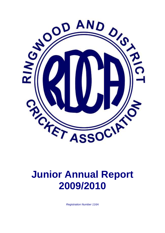

# **Junior Annual Report 2009/2010**

*Registration Number 116A*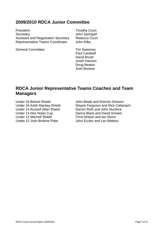# **2009/2010 RDCA Junior Committee**

President Timothy Court Secretary **John Springett**<br>Assistant and Registration Secretary Rebecca Court Assistant and Registration Secretary Rebecca C<br>Representative Teams Coordinator John Kilby Representative Teams Coordinator

General Committee Tim Sweeney

Paul Cardwell David Brush Justin Hansen Doug Beaton Josh Browne

# **RDCA Junior Representative Teams Coaches and Team Managers**

Under 12 Mitchell Shield<br>
Under 12 Josh Browne Plate<br>
Under 12 Josh Browne Plate<br>
Chris Wilson and Len Bettes

Under 16 Beitzel Shield John Beale and Warrick Dickson Under 16 Keith Mackay Shield Wayne Ferguson and Rick Cattanach Under 14 Russell Allan Shield Darren Roth and John Nucifora Under 14 Des Nolan Cup Danny Black and David Smeed John Eccles and Len Bettess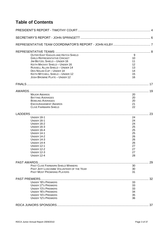# **Table of Contents**

|  | OUTER EAST EAGLES AND HATCH SHIELD         | 9        |    |
|--|--------------------------------------------|----------|----|
|  | <b>GIRLS REPRESENTATIVE CRICKET</b>        |          |    |
|  | JIM BEITZEL SHIELD - UNDER 16              | 10<br>11 |    |
|  | KEITH MACKAY SHIELD - UNDER 16             |          |    |
|  | <b>RUSSELL ALLAN SHIELD - UNDER 14</b>     | 12       |    |
|  | DES NOLAN CUP - UNDER 14                   | 13<br>14 |    |
|  | KEITH MITCHELL SHIELD - UNDER 12           | 15       |    |
|  | JOSH BROWNE PLATE - UNDER 12               | 16       |    |
|  |                                            |          |    |
|  |                                            |          |    |
|  |                                            |          |    |
|  | <b>MAJOR AWARDS</b>                        | 20       |    |
|  | <b>BATTING AVERAGES</b>                    | 20       |    |
|  | <b>BOWLING AVERAGES</b>                    | 20       |    |
|  | <b>ENCOURAGEMENT AWARDS</b>                | 21       |    |
|  | <b>CLIVE FAIRBAIRN SHIELD</b>              | 22       |    |
|  |                                            |          | 23 |
|  | <b>UNDER 18-1</b>                          | 24       |    |
|  | <b>UNDER 16-1</b>                          | 24       |    |
|  | <b>UNDER 16-2</b>                          | 24       |    |
|  | <b>UNDER 16-3</b>                          | 25       |    |
|  | <b>UNDER 16-4</b>                          | 25       |    |
|  | <b>UNDER 14-1</b>                          | 25       |    |
|  | <b>UNDER 14-2</b>                          | 26       |    |
|  | <b>UNDER 14-3</b>                          | 26       |    |
|  | <b>UNDER 14-4</b>                          | 26       |    |
|  | <b>UNDER 12-1</b>                          | 27       |    |
|  | <b>UNDER 12-2</b>                          | 27       |    |
|  | <b>UNDER 12-3</b>                          | 27       |    |
|  | <b>UNDER 12-4</b>                          | 28       |    |
|  |                                            |          | 29 |
|  | <b>PAST CLIVE FAIRBAIRN SHIELD WINNERS</b> | 30       |    |
|  | PAST JEFF LUSCOMBE VOLUNTEER OF THE YEAR   | 30       |    |
|  | <b>PAST MOST PROMISING PLAYERS</b>         | 31       |    |
|  |                                            |          |    |
|  |                                            |          | 32 |
|  | <b>UNDER 18'S PREMIERS</b>                 | 33       |    |
|  | <b>UNDER 17'S PREMIERS</b>                 | 33       |    |
|  | <b>UNDER 13'S PREMIERS</b>                 | 33       |    |
|  | <b>UNDER 16'S PREMIERS</b>                 | 34       |    |
|  | <b>UNDER 14'S PREMIERS</b>                 | 35       |    |
|  | <b>UNDER 12'S PREMIERS</b>                 | 36       |    |
|  |                                            |          |    |
|  |                                            |          |    |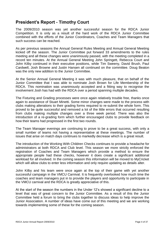# <span id="page-3-0"></span>**President's Report - Timothy Court**

The 2009/2010 season was yet another successful season for the RDCA Junior Competition. It is only as a result of the hard work of the RDCA Junior Committee combined with the efforts of the Junior Coordinators, Coaches and Team Managers that such success can be reached.

As per previous seasons the Annual General Rules Meeting and Annual General Meeting kicked off the season. The Junior Committee put forward 33 amendments to the rules meeting and all these changes were unanimously passed, with the meeting completed in a record ten minutes. At the Annual General Meeting John Springett, Rebecca Court and John Kilby continued in their executive positions, while Tim Sweeny, David Brush, Paul Cardwell, Josh Browne and Justin Hansen all continued on the committee. Doug Beaton was the only new addition to the Junior Committee.

At the Senior Annual General Meeting it was with much pleasure, that on behalf of the Junior Committee that I was able to nominate Josh Brown for Life Membership of the RDCA. This nomination was unanimously accepted and a fitting way to recognise the involvement Josh has had with the RDCA over a period spanning multiple decades.

The Fixturing and Grading processes were once again relatively trouble free, thanks once again to assistance of Stuart Minetti. Some minor changes were made to the process with clubs making alterations to their grading forms required to re-submit the whole form. This proved to be quite successful and removed a lot of the little errors that occurred resulting from clubs making multiple changes over a three week period. There was also the introduction of a re-grading form which further encouraged clubs to provide feedback on how their teams had progressed in the first two rounds.

The Team Manager evenings are continuing to prove to be a great success, with only a small number of teams not having a representative at these meetings. The number of issues that arise on match days continues to markedly decrease which is a great result.

The introduction of the Working With Children Checks continues to provide a headache for administrators at both RDCA and Club level. This season we more strictly enforced the registration of Coaches and Team Managers which provide a method to ensure the appropriate people had these checks, however it does create a significant additional workload for all involved. In the coming season this information will be moved to MyCricket which will allow clubs to enter less information and only require updating as details alter.

John Kilby and his team were once again at the top of their game with yet another successful campaign in the VMCU Carnival. It is frequently overlooked how much time the coaches and team managers put in to provide the players and opportunity to participate in the VMCU carnival and the RDCA is greatly appreciative of this.

At the start of the season the numbers in the Under 12's showed a significant decline to a level that was of great concern to the Junior Committee. As a result of this the Junior Committee held a forum to bring the clubs together to discuss ideas to help improve the Junior Association. A number of ideas have come out of this meeting and we are working towards implementing some of these for the coming season.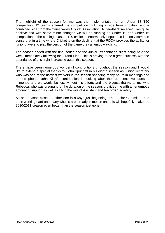The highlight of the season for me was the implementation of an Under 18 T20 competition. 12 teams entered the competition including a side from Knoxfield and a combined side from the Yarra valley Cricket Association. All feedback received was quite positive and with some minor changes we will be running an Under 19 and Under 16 competition in the coming season. T20 cricket is enormously popular so it is only common sense that in a time where Cricket is on the decline that the RDCA provides the ability for junior players to play the version of the game they all enjoy watching.

The season ended with the final series and the Junior Presentation Night being held the week immediately following the Grand Final. This is proving to be a great success with the attendance of this night increasing again this season.

There have been numerous wonderful contributions throughout the season and I would like to extend a special thanks to: John Springett in his eighth season as Junior Secretary who was one of the hardest workers in the season spending many hours in meetings and on the phone, John Kilby's contribution in looking after the representative sides is immense and we would be lost without his efforts and the biggest thanks to my wife Rebecca, who was pregnant for the duration of the season, provided me with an enormous amount of support as well as filling the role of Assistant and Records Secretary.

As one season closes another one is always just beginning. The Junior Committee has been working hard and many wheels are already in motion and this will hopefully make the 2010/2011 season even better than the season just gone.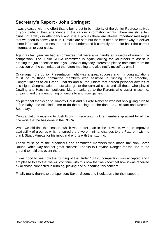# <span id="page-5-0"></span>**Secretary's Report - John Springett**

I was pleased with the effort that is being put in by majority of the Junior Representatives of your clubs in their attendance of the various information nights. There are still a few clubs not always in attendance and it is a pity as there are always important messages that we need to convey to club. E-mails are sent but there is often no better way to deliver some information and ensure that clubs understand it correctly and take back the correct information to your clubs.

Again as last year we had a committee that were able handle all aspects of running the competition. The Junior RDCA committee is again looking for volunteers to assist in running the junior section and if you know of anybody interested please nominate them for a position on the committee at the future meeting and also notify myself by email

Once again the Junior Presentation night was a great success and my congratulations must go to those committee members who assisted in running it so smoothly. Congratulations to all Grand Finalists and all the juniors that earned personal awards at this night. Congratulations must also go to the carnival sides and all those who played Dowling and Hatch competitions. Many thanks go to the Parents who assist in scoring, umpiring and the transporting of juniors to and from games.

My personal thanks go to Timothy Court and his wife Rebecca who not only giving birth to a fine baby, she still finds time to do the sterling job she does as Assistant and Records Secretary.

Congratulations must go to Josh Brown in receiving his Life membership award for all the fine work that he has done in the RDCA

What we did find this season, which was better than in the previous, was the improved availability of grounds which ensured there were minimal changes to the Fixture. I wish to thank Stuart Minette for his input and efforts with the fixturing.

Thank must go to the organisers and committee members who made the Non Comp Round Robin Day another great success. Thanks to Croydon Ranges for the use of the ground to hold this event there.

It was good to see how the running of the Under 18 T20 competition was accepted and I am please to say that we will continue with this now that we know that how it was received by all those connected in running, playing and supporting this concept.

Finally many thanks to our sponsors Saxon Sports and Kookaburra for their support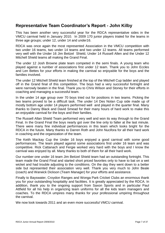# <span id="page-6-0"></span>**Representative Team Coordinator's Report - John Kilby**

This has been another very successful year for the RDCA representative sides in the VMCU carnival held in January 2010. In 2009 170 junior players trialed for the teams in three age groups; under 12, under 14 and under16.

RDCA was once again the most represented Association in the VMCU competition with two under 16 teams, two under 14 teams and two under 12 teams. All teams performed very well with the Under 16 Jim Beitzel Shield, Under 14 Russell Allen and the Under 12 Mitchell Shield teams all making the Grand Final.

The under 12 Josh Browne plate team competed in the semi finals. A young team who played against a number of associations first under 12 team. Thank you to John Eccles and Len Bettes for your efforts in making the carnival so enjoyable for the boys and the families involved.

The under 12 Mitchell Shield team finished at the top of the Mitchell Cup ladder and played off in the Grand final of this competition. The boys had a very successful fortnight and were narrowly beaten in the final. Thank you to Chris Wilson and Stoney for their efforts in coaching and managing a successful team.

In the under 14 age group over 70 boys tried out for positions in two teams. Picking the two teams proved to be a difficult task. The under 14 Des Nolan Cup side made up of mostly bottom age under 14 players performed well and played in the quarter final. Many thanks to Danny Black and David Smead for their many hours of hard work to make this an enjoyable carnival for the boys and their families.

The Russell Allan Shield Team performed very well and won its way through to the Grand Final. In the Grand Final the boys nearly got over the line only to falter at the last minute. There were many fine individual performances in this team which looks bright for the RDCA in the future. Many thanks to Darren Roth and John Nucifora for all their hard work in coaching and the organization of the team.

The Keith Mackay Cup the Under 16 boys enjoyed a good carnival with some good performances. The team played against some associations first under 16 team and was competitive. Rick Cattanach and Fergie worked very hard with the boys and I know the carnival was enjoyed by all. Many thanks to both of them for all their hard work.

Our number one under 16 team Jim Beitzel Shield team had an outstanding fortnight. This team made the Grand Final and started short priced favorites only to have to bat on a wet wicket and had trouble adjusting to the conditions. On the day they went down to a better side but represented their association very well. Thank you very much to John Beale (coach) and Warwick Dickson (Team Manager) for your efforts and assistance.

Finally to Bayswater, Croydon Ranges and Wonga Park Cricket Clubs an enormous thank you for your outstanding hospitality and facilities. It is greatly appreciated by the RDCA. In addition, thank you to the ongoing support from Saxon Sports and in particular Paul Attfield for all his help in organizing team uniforms for all the kids team managers and coaches. To the RDCA umpires many thanks for your professional umpiring throughout the carnival.

We now look towards 2011 and an even more successful VMCU carnival.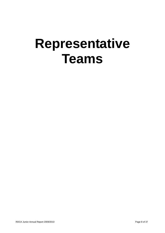# <span id="page-7-0"></span>**Representative Teams**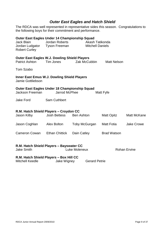# *Outer East Eagles and Hatch Shield*

<span id="page-8-0"></span>The RDCA was well represented in representative sides this season. Congratulations to the following boys for their commitment and performance.

| Outer East Eagles Under 14 Championship Squad<br><b>Jack Blain</b><br>Jordan Ludgator<br><b>Robert Curley</b> | Jordan Roberts<br><b>Tyson Freeman</b> | Akash Tatikonda<br><b>Mitchell Daniels</b> |                    |                    |
|---------------------------------------------------------------------------------------------------------------|----------------------------------------|--------------------------------------------|--------------------|--------------------|
| <b>Outer East Eagles W.J. Dowling Shield Players</b>                                                          |                                        |                                            |                    |                    |
| <b>Patrict Ashton</b>                                                                                         | Tim Jones                              | Zak McCubbin                               | <b>Matt Nelson</b> |                    |
| Tom Szabo                                                                                                     |                                        |                                            |                    |                    |
| <b>Inner East Emus W.J. Dowling Shield Players</b><br>Jamie Gottliebson                                       |                                        |                                            |                    |                    |
| Outer East Eagles Under 18 Championship Squad<br><b>Jarrod McPhee</b><br><b>Jackson Freeman</b><br>Matt Fyfe  |                                        |                                            |                    |                    |
| <b>Jake Ford</b>                                                                                              | <b>Sam Cuthbert</b>                    |                                            |                    |                    |
| R.M. Hatch Shield Players - Croydon CC<br>Jason Kilby                                                         | <b>Josh Bettess</b>                    | <b>Ben Ashton</b>                          | <b>Matt Opitz</b>  | <b>Matt McKane</b> |
| Jason Coghlan                                                                                                 | <b>Alex Bolton</b>                     | <b>Toby McGurgan</b>                       | Matt Fotia         | <b>Jake Crowe</b>  |
| <b>Cameron Cowan</b>                                                                                          | <b>Ethan Chittick</b>                  | Dain Catley                                | <b>Brad Watson</b> |                    |
| R.M. Hatch Shield Players - Bayswater CC<br><b>Jake Smith</b><br>Luke Moleneux<br><b>Rohan Ervine</b>         |                                        |                                            |                    |                    |
| R.M. Hatch Shield Players - Box Hill CC<br><b>Mitchell Keedle</b><br>Jake Wigney<br><b>Gerard Petrie</b>      |                                        |                                            |                    |                    |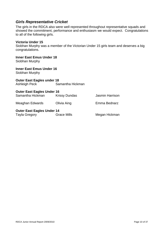### <span id="page-9-0"></span>*Girls Representative Cricket*

The girls in the RDCA also were well represented throughout representative squads and showed the commitment, performance and enthusiasm we would expect. Congratulations to all of the following girls.

### **Victoria Under 15**

Siobhan Murphy was a member of the Victorian Under 15 girls team and deserves a big congratulations.

**Inner East Emus Under 18** Siobhan Murphy

**Inner East Emus Under 16** Siobhan Murphy

**Outer East Eagles under 18** Ashleigh Peck Samantha Hickman

| <b>Outer East Eagles Under 16</b> |                      |                 |  |
|-----------------------------------|----------------------|-----------------|--|
| Samantha Hickman                  | <b>Krissy Dundas</b> | Jasmin Harrison |  |
| Meaghan Edwards                   | Olivia Aing          | Emma Bednarz    |  |

**Outer East Eagles Under 14<br>Tayla Gregory 6. Grace Mills** Tayla Gregory **Grace Mills** Megan Hickman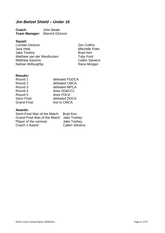# <span id="page-10-0"></span>*Jim Beitzel Shield – Under 16*

**Coach:** John Beale **Team Manager:** Warrick Dickson

### **Squad:**

Lochlan Dickson Zen Collins Jake Toohey<br>Matthew van der Westhuizen Foby Ford Matthew van der Westhuizen<br>
Matthew Sazenis<br>
Callen Stevens Matthew Sazenis **Callen Steven:**<br>
Nathan Willoughby **Callen Steven:**<br>
Rana Morgan Nathan Willoughby

Mitchelle Potts<br>Brad Kerr

### **Results:**

| defeated FGDCA |
|----------------|
| defeated CMCA  |
| defeated MPCA  |
| drew SD&CCL    |
| drew FDCA      |
| defeated DDCA  |
| lost to CMCA   |
|                |

| Semi-Final Man of the Match: Brad Kerr    |                       |
|-------------------------------------------|-----------------------|
| Grand-Final Man of the Match: Jake Toohey |                       |
| Player of the carnival:                   | Jake Toohey           |
| Coach's Award:                            | <b>Callen Stevens</b> |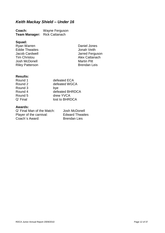# <span id="page-11-0"></span>*Keith Mackay Shield – Under 16*

| Coach:               | Wayne Ferguson        |
|----------------------|-----------------------|
| <b>Team Manager:</b> | <b>Rick Cattanach</b> |

### **Squad:**

Ryan Warren National Communist Communist Communist Communist Communist Communist Communist Communist Communist<br>
Daniel Jonah Veith Eddie Thwaites<br>Jacob Cardwell Josh McDonell<br>
Riley Patterson<br>
Riley Patterson<br>
Martin Pitt **Riley Patterson** 

Jacob Cardwell Jarred Ferguson Alex Cattanach<br>Martin Pitt

### **Results:**

| Round 1  | defeated ECA    |
|----------|-----------------|
| Round 2  | defeated WGCA   |
| Round 3  | bye             |
| Round 4  | defeated BHRDCA |
| Round 5  | drew YVCA       |
| Q' Final | lost to BHRDCA  |

| Q' Final Man of the Match: | Josh McDonell          |
|----------------------------|------------------------|
| Player of the carnival:    | <b>Edward Thwaites</b> |
| Coach's Award:             | <b>Brendan Lies</b>    |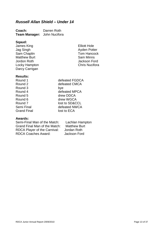# <span id="page-12-0"></span>*Russell Allan Shield – Under 14*

| Coach:                      | Darren Roth |
|-----------------------------|-------------|
| Team Manager: John Nucifora |             |

#### **Sqaud:**

James King Elliott Hole Sam Chaplin Tom Hancock Tom Hancock Tom Hancock Tom Hancock Tom Hancock Tom Hancock Tom Hancock Tom Hancock Tom Hancock Tom Hancock Tom Hancock Tom Hancock Tom Hancock Tom Hancock Tom Hancock Tom Hancock Tom Hancock Tom Ha **Matthew Burt** Jordon Roth Jackson Ford Locky Hampton Darcy Carrigan

Ayden Potter<br>Tom Hancock

### **Results:**

| Round 1            | defeated FGDCA |
|--------------------|----------------|
| Round 2            | defeated CMCA  |
| Round 3            | bye            |
| Round 4            | defeated MPCA  |
| Round 5            | drew DDCA      |
| Round 6            | drew WGCA      |
| Round 7            | lost to SD&CCL |
| Semi Final         | defeated NWCA  |
| <b>Grand Final</b> | lost to ECA    |
|                    |                |

#### **Awards:**

Semi-Final Man of the Match: Lachlan Hampton<br>Grand Final Man of the Match: Matthew Burt Grand Final Man of the Match: RDCA Player of the Carnival: Jordan Roth RDCA Coaches Award: Jackson Ford

RDCA Junior Annual Report 2009/2010 **Page 13 of 37**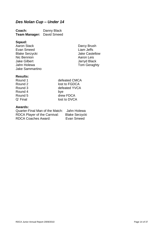# <span id="page-13-0"></span>*Des Nolan Cup – Under 14*

| Coach:               | Danny Black |
|----------------------|-------------|
| <b>Team Manager:</b> | David Smeed |

**Sqaud:** Evan Smeed<br>Blake Serzycki Blake Castellow Blake Serzycki and Jake Caste<br>Nic Bennion and Jake Caste<br>Aaron Leis Nic Bennion<br>Jake Gilbert Jake Gilbert Jarryd Black Jake Sammartino

Darcy Brush<br>Liam Jeffs Tom Geraghty

### **Results:**

| defeated CMCA |
|---------------|
| lost to FGDCA |
| defeated YVCA |
| bye           |
| drew FDCA     |
| lost to DVCA  |
|               |

| Quarter-Final Man of the Match: Jahn Holewa |                       |
|---------------------------------------------|-----------------------|
| RDCA Player of the Carnival:                | <b>Blake Serzycki</b> |
| <b>RDCA Coaches Award:</b>                  | Evan Smeed            |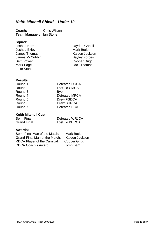# <span id="page-14-0"></span>*Keith Mitchell Shield – Under 12*

**Coach:** Chris Wilson **Team Manager:** Ian Stone

**Squad:** Joshua Exley<br>
James Thomas<br>
Vaiden Jackson James Thomas (Saiden Jackson)<br>James McCubbin (Saiden Bayley Forbes James McCubbin<br>Sam Power Sam Power Cooper Grigg<br>
Mark Page Cooper Grigg<br>
Mark Page Cooper Channel Back Thomas Luke Stone

Jayden Gabell<br>Mark Butler **Jack Thomas** 

### **Results:**

| Round 1 | Defeated DDCA |
|---------|---------------|
| Round 2 | Lost To CMCA  |
| Round 3 | Bye           |
| Round 4 | Defeated MPCA |
| Round 5 | Drew FGDCA    |
| Round 6 | Drew BHRCA    |
| Round 7 | Defeated ECA  |
|         |               |

#### **Keith Mitchell Cup**

| Semi Final         | Defeated WRJCA |
|--------------------|----------------|
| <b>Grand Final</b> | Lost To BHRCA  |

| Semi-Final Man of the Match:  | <b>Mark Butler</b> |
|-------------------------------|--------------------|
| Grand-Final Man of the Match: | Kaiden Jackson     |
| RDCA Player of the Carnival:  | Cooper Grigg       |
| RDCA Coach's Award:           | Josh Barr          |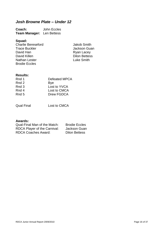# <span id="page-15-0"></span>*Josh Browne Plate – Under 12*

**Coach:** John Eccles **Team Manager:** Len Bettess

### **Squad:**

Charlie Bereseford<br>
Trace Buckler<br>
Trace Buckler<br>
Trace Buckler<br>
Trace Buckler<br>
Trace Buckler<br>
Trace Buckler<br>
Trace Buckler David Han Ryan Lacey<br>
David Killen Rettes: Dilon Bettes: Nathan Lester Brodie Eccles

Jackson Guan Dilon Bettess<br>Luke Smith

### **Results:**

| Rnd 1 | Defeated MPCA |
|-------|---------------|
| Rnd 2 | <b>Bye</b>    |
| Rnd 3 | Lost to YVCA  |
| Rnd 4 | Lost to CMCA  |
| Rnd 5 | Drew FGDCA    |
|       |               |

Qual Final Lost to CMCA

| Qual-Final Man of the Match: | <b>Brodie Eccles</b> |
|------------------------------|----------------------|
| RDCA Player of the Carnival: | Jackson Guan         |
| <b>RDCA Coaches Award:</b>   | <b>Dilon Bettess</b> |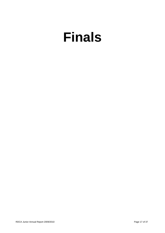# <span id="page-16-0"></span>**Finals**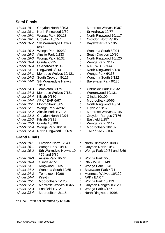# **Semi Finals**

| Under 18-1        | Croydon North 3/103         |
|-------------------|-----------------------------|
| Under 18-1        | North Ringwood 3/80         |
| <b>Under 16-1</b> | Wonga Park 10/118           |
| Under 16-1        | Croydon 10/157              |
| <b>Under 16-2</b> | <b>Sth Warrandyte Hawks</b> |
|                   | 0/80                        |
| <b>Under 16-2</b> | Wonga Park 10/232           |
| <b>Under 16-3</b> | Ainslie Park 6/233          |
| <b>Under 16-3</b> | Wonga Park 9/132            |
| Under 16-4        | Olinda 7/225                |
| Under 16-4        | St Andrews 9/142            |
| Under 14-1        | Ringwood 3/214              |
| <b>Under 14-1</b> | Montrose Wolves 10/121      |
| Under 14-2        | South Croydon 8/117         |
| <b>Under 14-2</b> | <b>Sth Warrandyte Hawks</b> |
|                   | 10/113                      |
| <b>Under 14-3</b> | Templeton 8/179             |
| <b>Under 14-3</b> | Montrose Wolves 7/131       |
| Under 14-4        | Kilsyth 9/130               |
| Under 14-4        | APK / EAR 6/67              |
| <b>Under 12-1</b> | Mooroolbark 3/85            |
| Under 12-1        | Wonga Park 4/202            |
| <b>Under 12-2</b> | Ainslie Park 10/112         |
|                   |                             |
| <b>Under 12-2</b> | Croydon North 10/94         |
| <b>Under 12-3</b> | Kilsyth 5/211               |
| <b>Under 12-3</b> | Olinda 10/108               |

- *Under 12-4* Wonga Park 10/101 lt Mooroolbark 10/102
- *Under 12-4* North Ringwood 10/139 d TMP / KNC 9/106

### **Grand Finals**

- *Under 18-1* Croydon North 9/140 d North Ringwood 10/88
- *Under 16-1* Wonga Park 10/113 d Croydon North 10/82
- *Under 16-2* Sth Warrndyte Hawks 10 / 79 and 5/89
- *Under 16-3* Ainslie Park 10/72 lt Wonga Park 6/75
- *Under 16-4* Olinda 4/151 d RIN / WDT 6/149
- *Under 14-1* Ringwood 5/135 d Wonga Park 10/45
- *Under 14-2* Wantrina South 10/65 lt Bayswater Park 4/71
- *Under 14-3* Templeton 10/96 lt Montrose Wolves 10/129
- *Under 14-4* Kilsyth d APK / EAR \*\*
- *Under 12-1* Mooroolbark 1/125 d Wonga Park 10/123
- *Under 12-2* Montrose Wolves 10/65 lt Croydon Ranges 10/120
- *Under 12-3* Eastfield 10/121 lt Wonga Park 6/157
- *Under 12-4* Mooroolbark 3/115 d North Ringwood 10/96

\*\* Final Result not submitted by Kilsyth

- d Montrose Wolves 10/97<br>d St Andrews 10/77
- **St Andrews 10/77**
- d North Ringwood 10/117
- It Croydon North 4/165
- d Bayswater Park 10/76
- d Wantirna South 8/204
- d South Croydon 10/80
- d North Ringwood 10/120
- d Wonga Park 7/117
- *It* RIN / WDT 7/144
- d North Ringwood 5/120
- d Wonga Park 6/138
- It Wantirna South 9/122
- lt Bayswater Park 9/130
- d Chirnside Park 10/132
- t Warranwood 10/131
- d Olinda 10/109
- d Mooroolbark 10/66
- d North Ringwood 10/74
- d Lilydale 10/67
- It Montrose Wolves 4/145
- It Croydon Ranges 7/176
- It Eastfield 8/257
- It Wonga Park 7/117
- 
- 
- 
- 
- lt Wonga Park 10/84 and 3/69
- 
- 
- 
- 
- 
- 
- 
- 
- 
-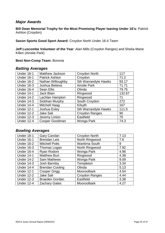### <span id="page-19-0"></span>*Major Awards*

**Bill Dean Memorial Trophy for the Most Promising Player leaving Under 16's:** Patrick Ashton (Croydon)

**Saxon Sports Good Sport Award:** Croydon North Under 16-4 Team

**Jeff Luscombe Volunteer of the Year**: Alan Mills (Croydon Ranges) and Shelia-Marie Killen (Ainslie Park)

### **Best Non-Comp Team:** Boronia

### <span id="page-19-1"></span>*Batting Averages*

| Under 18-1        | Matthew Jackson       | Croydon North               | 117    |
|-------------------|-----------------------|-----------------------------|--------|
| Under 16-1        | <b>Patrick Ashton</b> | Croydon                     | 71.2   |
| <b>Under 16-2</b> | Nathan Willoughby     | <b>Sth Warrandyte Hawks</b> | 93.17  |
| <b>Under 16-3</b> | <b>Joshua Bettess</b> | <b>Ainslie Park</b>         | 71.71  |
| Under 16-4        | <b>Sean Ellis</b>     | Olinda                      | 79.75  |
| <b>Under 14-1</b> | Jack Blain            | Ringwood                    | 132.67 |
| Under 14-2        | Lachlan Hampton       | Ringwood                    | 71     |
| Under 14-3        | Siobhan Murphy        | South Croydon               | 272    |
| Under 14-4        | <b>Mitchell Haag</b>  | Kilsyth                     | 167    |
| <b>Under 12-1</b> | Joshua Exley          | Sth Warrandyte Hawks        | 111.5  |
| <b>Under 12-2</b> | Jake Sali             | <b>Croydon Ranges</b>       | 90     |
| <b>Under 12-3</b> | Jeremy Linton         | Eastfield                   | 75     |
| Under 12-4        | Cooper Goodman        | Wonga Park                  | 74.3   |

### <span id="page-19-2"></span>*Bowling Averages*

| Under 18-1        | <b>Gary Carolan</b>    | Croydon North         | 7.13 |
|-------------------|------------------------|-----------------------|------|
| <b>Under 16-1</b> | <b>Brendan Leis</b>    | North Ringwood        | 7.6  |
| Under 16-2        | <b>Mitchell Potts</b>  | <b>Wantirna South</b> | 9    |
| <b>Under 16-3</b> | Thomas Logan           | North Ringwood        | 7.92 |
| Under 16-4        | Ryan Rodoni            | Wonga Park            | 4.96 |
| <b>Under 14-1</b> | <b>Matthew Burt</b>    | Ringwood              | 4.38 |
| Under 14-2        | <b>Sam Mathews</b>     | Wonga Park            | 9.09 |
| <b>Under 14-3</b> | Josh Barmby            | Templeton             | 3.34 |
| Under 14-4        | <b>Brendan Cooling</b> | Olinda                | 5.13 |
| <b>Under 12-1</b> | <b>Cooper Grigg</b>    | Mooroolbark           | 4.54 |
| <b>Under 12-2</b> | Jake Sali              | <b>Croydon Ranges</b> | 4.44 |
| <b>Under 12-3</b> | <b>Braeden Gordan</b>  | Eastfield             | 3.38 |
| <b>Under 12-4</b> | <b>Zachary Gates</b>   | Mooroolbark           | 4.27 |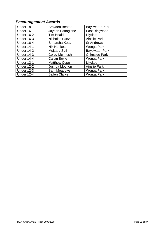# <span id="page-20-0"></span>*Encouragement Awards*

| <b>Under 18-1</b> | <b>Brayden Beaton</b> | <b>Bayswater Park</b> |
|-------------------|-----------------------|-----------------------|
| Under 16-1        | Jayden Battaglene     | East Ringwood         |
| <b>Under 16-2</b> | <b>Tim Heald</b>      | Lilydale              |
| <b>Under 16-3</b> | Nicholas Panza        | <b>Ainslie Park</b>   |
| Under 16-4        | Sriharsha Kotla       | <b>St Andrews</b>     |
| <b>Under 14-1</b> | <b>Nik Henkes</b>     | Wonga Park            |
| Under 14-2        | Mujtaba Safi          | <b>Bayswater Park</b> |
| <b>Under 14-3</b> | <b>Corey McIntosh</b> | <b>Chirnside Park</b> |
| <b>Under 14-4</b> | Callan Boyle          | Wonga Park            |
| <b>Under 12-1</b> | <b>Matthew Cope</b>   | Lilydale              |
| <b>Under 12-2</b> | Joshua Moulton        | <b>Ainslie Park</b>   |
| <b>Under 12-3</b> | Sam Meadows           | Wonga Park            |
| <b>Under 12-4</b> | <b>Bailen Clarke</b>  | Wonga Park            |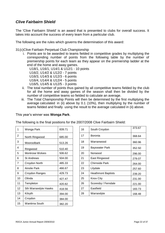# <span id="page-21-0"></span>*Clive Fairbairn Shield*

The 'Clive Fairbairn Shield' is an award that is presented to clubs for overall success. It takes into account the success of every team from a particular club.

The following are the rules which governs the determination of this award:

31(c)Clive Fairbain Perpetual Club Championship

i. Points are to be awarded to teams fielded in competitive grades by multiplying the corresponding number of points from the following table by the number of premiership points for each team as they appear on the premiership ladder at the end of the home and away games.

U18/1, U16/1, U14/1 & U12/1 - 10 points

U16/2, U14/2 & U12/2 - 7 points

U16/3, U14/3 & U12/3 - 6 points

U16/4, U14/4 & U12/4 - 5 points

U16/5, U14/5 & U12/5 - 3 points

- ii. The total number of points thus gained by all competitive teams fielded by the club for all the home and away games of the season shall then be divided by the number of competitive teams so fielded to calculate an average.
- iii. The Total Championship Points will then be determined by the first multiplying the average calculated in (ii) above by 0.1 (10%), then multiplying by the number of teams fielded and finally using the result to the average calculated in (ii) above.

This year's winner was **Wonga Park**.

The following is the final positions for the 2007/2008 Clive Fairbairn Shield:

| 1              | Wonga Park           | 839.71 |
|----------------|----------------------|--------|
| $\overline{2}$ | North Ringwood       | 685.00 |
| 3              | Mooroolbark          | 513.26 |
| 4              | Ringwood             | 510.40 |
| 5              | Montrose Wolves      | 506.62 |
| 6              | St Andrews           | 504.00 |
| 7              | Croydon North        | 485.33 |
| 8              | Ainslie Park         | 466.67 |
| 9              | Croydon Ranges       | 429.73 |
| 10             | Olinda               | 427.47 |
| 11             | Templeton            | 420.82 |
| 12             | Sth Warrandyte Hawks | 418.56 |
| 13             | Kilsyth              | 394.00 |
| 14             | Croydon              | 384.00 |
| 15             | Wantirna South       | 382.20 |

| 1              | Wonga Park             | 839.71 | 16 | South Croydon             | 373.67 |
|----------------|------------------------|--------|----|---------------------------|--------|
| 2              | North Ringwood         | 685.00 | 17 | <b>Boronia</b>            | 368.64 |
| 3              | Mooroolbark            | 513.26 | 18 | Warranwood                | 360.96 |
| 4              | Ringwood               | 510.40 | 19 | <b>Bayswater Park</b>     | 352.50 |
| 5              | <b>Montrose Wolves</b> | 506.62 | 20 | Norwood                   | 296.00 |
| 6              | <b>St Andrews</b>      | 504.00 | 21 | East Ringwood             | 279.07 |
| $\overline{7}$ | Croydon North          | 485.33 | 22 | <b>Chirnside Park</b>     | 264.00 |
| 8              | Ainslie Park           | 466.67 | 23 | Lilydale                  | 257.60 |
| 9              | Croydon Ranges         | 429.73 | 24 | <b>Heathmont Baptists</b> | 239.20 |
| 10             | Olinda                 | 427.47 | 25 | <b>Knox City</b>          | 231.00 |
| 11             | Templeton              | 420.82 | 26 | Scoresby / Ferndale       | 221.00 |
| 12             | Sth Warrandyte Hawks   | 418.56 | 27 | Eastfield                 | 183.73 |
| 13             | Kilsyth                | 394.00 | 28 | Warrandyte                | 168.48 |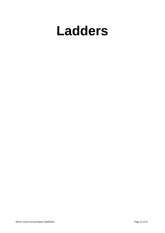# <span id="page-22-0"></span>**Ladders**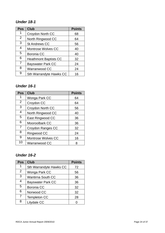# <span id="page-23-0"></span>*Under 18 - 1*

| <b>Pos</b>     | <b>Club</b>                  | <b>Points</b> |
|----------------|------------------------------|---------------|
| 1              | Croydon North CC             | 68            |
| 2              | North Ringwood CC            | 64            |
| $\mathbf{3}$   | <b>St Andrews CC</b>         | 56            |
| $\overline{4}$ | <b>Montrose Wolves CC</b>    | 40            |
| 5              | Boronia CC                   | 40            |
| 6              | <b>Heathmont Baptists CC</b> | 32            |
| 7              | <b>Bayswater Park CC</b>     | 24            |
| 8              | Warranwood CC                | 24            |
| 9              | Sth Warrandyte Hawks CC      | 16            |

# <span id="page-23-1"></span>*Under 16 - 1*

| <b>Pos</b>     | <b>Club</b>               | <b>Points</b> |
|----------------|---------------------------|---------------|
| 1              | Wonga Park CC             | 64            |
| 2              | Croydon CC                | 64            |
| $\mathbf{3}$   | Croydon North CC          | 56            |
| $\overline{4}$ | North Ringwood CC         | 40            |
| 5              | East Ringwood CC          | 36            |
| 6              | <b>Mooroolbark CC</b>     | 36            |
| 7              | Croydon Ranges CC         | 32            |
| 8              | Ringwood CC               | 24            |
| 9              | <b>Montrose Wolves CC</b> | 16            |
| 10             | Warranwood CC             | 8             |

# <span id="page-23-2"></span>*Under 16 -2*

| <b>Pos</b>     | <b>Club</b>              | <b>Points</b> |
|----------------|--------------------------|---------------|
| 1              | Sth Warrandyte Hawks CC  | 72            |
| 2              | Wonga Park CC            | 56            |
| 3              | <b>Wantirna South CC</b> | 36            |
| 4              | <b>Bayswater Park CC</b> | 36            |
| 5              | <b>Boronia CC</b>        | 32            |
| 6              | Norwood CC               | 32            |
| $\overline{7}$ | <b>Templeton CC</b>      | 28            |
| 8              | Lilydale CC              |               |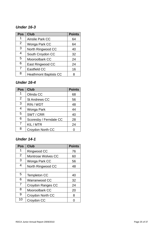# <span id="page-24-0"></span>*Under 16 - 3*

| <b>Pos</b>     | <b>Club</b>                  | <b>Points</b> |
|----------------|------------------------------|---------------|
| 1              | <b>Ainslie Park CC</b>       | 64            |
| $\overline{2}$ | Wonga Park CC                | 64            |
| 3              | North Ringwood CC            | 40            |
| 4              | South Croydon CC             | 32            |
| 5              | Mooroolbark CC               | 24            |
| 6              | East Ringwood CC             | 24            |
| 7              | Eastfield CC                 | 16            |
| 8              | <b>Heathmont Baptists CC</b> |               |

# <span id="page-24-1"></span>*Under 1 6 - 4*

| <b>Pos</b>     | <b>Club</b>            | <b>Points</b> |
|----------------|------------------------|---------------|
| 1              | Olinda CC              | 68            |
| 2              | <b>St Andrews CC</b>   | 56            |
| 3              | RIN / WDT              | 48            |
| 4              | Wonga Park             | 44            |
| 5              | SWT / CRR              | 40            |
| 6              | Scoresby / Ferndale CC | 28            |
| $\overline{7}$ | KIL / MTR              | 24            |
| 8              | Croydon North CC       |               |

# <span id="page-24-2"></span>*Under 1 4 - 1*

| <b>Pos</b>     | <b>Club</b>               | <b>Points</b> |
|----------------|---------------------------|---------------|
| 1              | Ringwood CC               | 76            |
| $\overline{2}$ | <b>Montrose Wolves CC</b> | 60            |
| 3              | Wonga Park CC             | 56            |
| 4              | North Ringwood CC         | 48            |
|                |                           |               |
| 5              | <b>Templeton CC</b>       | 40            |
| 6              | Warranwood CC             | 32            |
| $\overline{7}$ | Croydon Ranges CC         | 24            |
| 8              | <b>Mooroolbark CC</b>     | 20            |
| 9              | Croydon North CC          | 8             |
| 10             | Croydon CC                |               |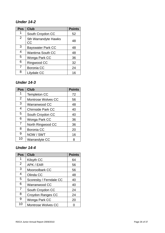# <span id="page-25-0"></span>*Under 1 4 -2*

| <b>Pos</b> | <b>Club</b>                              | <b>Points</b> |
|------------|------------------------------------------|---------------|
| 1          | South Croydon CC                         | 52            |
| 2          | <b>Sth Warrandyte Hawks</b><br><b>CC</b> | 48            |
| 3          | <b>Bayswater Park CC</b>                 | 48            |
| 4          | <b>Wantirna South CC</b>                 | 48            |
| 5          | Wonga Park CC                            | 36            |
| 6          | Ringwood CC                              | 32            |
| 7          | <b>Boronia CC</b>                        | 24            |
| 8          | Lilydale CC                              | 16            |

# <span id="page-25-1"></span>*Under 14 - 3*

| <b>Pos</b>     | <b>Club</b>               | <b>Points</b> |
|----------------|---------------------------|---------------|
| 1              | <b>Templeton CC</b>       | 72            |
| $\overline{2}$ | <b>Montrose Wolves CC</b> | 56            |
| $\mathbf{3}$   | Warranwood CC             | 48            |
| 4              | <b>Chirnside Park CC</b>  | 40            |
| 5              | South Croydon CC          | 40            |
| 6              | Wonga Park CC             | 36            |
| $\overline{7}$ | North Ringwood CC         | 36            |
| 8              | <b>Boronia CC</b>         | 20            |
| 9              | NOW / SWT                 | 16            |
| 10             | Warrandyte CC             | 8             |

# <span id="page-25-2"></span>*Under 1 4 - 4*

| <b>Pos</b>     | <b>Club</b>               | <b>Points</b> |
|----------------|---------------------------|---------------|
| 1              | Kilsyth CC                | 64            |
| $\overline{2}$ | APK / EAR                 | 56            |
| 3              | <b>Mooroolbark CC</b>     | 56            |
| 4              | Olinda CC                 | 48            |
| 5              | Scoresby / Ferndale CC    | 40            |
| 6              | Warranwood CC             | 40            |
| 7              | South Croydon CC          | 24            |
| 8              | Croydon Ranges CC         | 24            |
| 9              | Wonga Park CC             | 20            |
| 10             | <b>Montrose Wolves CC</b> |               |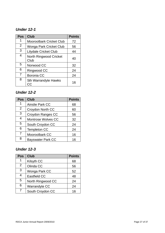# <span id="page-26-0"></span>*Under 12 - 1*

| <b>Pos</b>     | <b>Club</b>                           | <b>Points</b> |
|----------------|---------------------------------------|---------------|
| 1              | <b>Mooroolbark Cricket Club</b>       | 72            |
| $\overline{2}$ | Wonga Park Cricket Club               | 56            |
| 3              | <b>Lilydale Cricket Club</b>          | 44            |
| 4              | <b>North Ringwood Cricket</b><br>Club | 40            |
| 5              | Norwood CC                            | 32            |
| 6              | Ringwood CC                           | 24            |
| 7              | <b>Boronia CC</b>                     | 24            |
| 8              | <b>Sth Warrandyte Hawks</b>           | 16            |

# <span id="page-26-1"></span>*Under 12 -2*

| <b>Pos</b> | <b>Club</b>               | <b>Points</b> |
|------------|---------------------------|---------------|
|            | <b>Ainslie Park CC</b>    | 68            |
| 2          | Croydon North CC          | 60            |
| 3          | Croydon Ranges CC         | 56            |
| 4          | <b>Montrose Wolves CC</b> | 32            |
| 5          | South Croydon CC          | 24            |
| 6          | <b>Templeton CC</b>       | 24            |
| 7          | Mooroolbark CC            | 16            |
| 8          | <b>Bayswater Park CC</b>  | 16            |

# <span id="page-26-2"></span>*Under 12 - 3*

| <b>Pos</b>     | Club              | <b>Points</b> |
|----------------|-------------------|---------------|
| 1              | Kilsyth CC        | 68            |
| $\overline{2}$ | Olinda CC         | 56            |
| 3              | Wonga Park CC     | 52            |
| 4              | Eastfield CC      | 48            |
| 5              | North Ringwood CC | 24            |
| 6              | Warrandyte CC     | 24            |
| 7              | South Croydon CC  | 16            |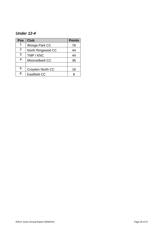# <span id="page-27-0"></span>*Under 12-4*

| <b>Pos</b> | <b>Club</b>         | <b>Points</b> |
|------------|---------------------|---------------|
| 1          | Wonga Park CC       | 76            |
| 2          | North Ringwood CC   | 44            |
| 3          | TMP / KNC           | 44            |
| 4          | Mooroolbark CC      | 36            |
|            |                     |               |
| 5          | Croydon North CC    | 16            |
| 6          | <b>Eastfield CC</b> |               |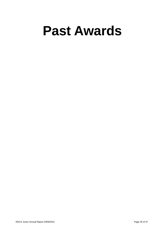# <span id="page-28-0"></span>**Past Awards**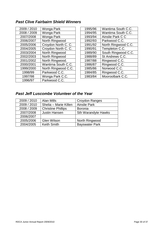# <span id="page-29-0"></span>*Past Clive Fairbairn Shield Winners*

| 2009 / 2010 | Wonga Park          | 1995/96 | Wantirna South C.C. |
|-------------|---------------------|---------|---------------------|
| 2008 / 2009 | Wonga Park          | 1994/95 | Wantirna South C.C. |
| 2007/2008   | Wonga Park          | 1993/94 | Ainslie Park C C    |
| 2006/2007   | North Ringwood      | 1992/93 | Parkwood C.C.       |
| 2005/2006   | Croydon North C. C. | 1991/92 | North Ringwood C.C. |
| 2004/2005   | Croydon North C. C. | 1990/91 | Templeton C.C.      |
| 2003/2004   | North Ringwood      | 1989/90 | South Ringwood C.C. |
| 2002/2003   | North Ringwood      | 1988/89 | St Andrews C.C.     |
| 2001/2002   | North Ringwood.     | 1987/88 | Ringwood C.C.       |
| 2000/2001   | Wantirna South C.C. | 1986/87 | Ringwood C.C.       |
| 1999/2000   | North Ringwood C.C. | 1985/86 | Norwood C.C.        |
| 1998/99     | Parkwood C.C.       | 1984/85 | Ringwood C.C.       |
| 1997/98     | Wonga Park C.C.     | 1983/84 | Mooroolbark C.C.    |
| 1996/97     | Parkwood C.C.       |         |                     |
|             |                     |         |                     |

| 1995/96 | Wantirna South C.C. |  |
|---------|---------------------|--|
| 1994/95 | Wantirna South C.C. |  |
| 1993/94 | Ainslie Park C C    |  |
| 1992/93 | Parkwood C.C.       |  |
| 1991/92 | North Ringwood C.C. |  |
| 1990/91 | Templeton C.C.      |  |
| 1989/90 | South Ringwood C.C. |  |
| 1988/89 | St Andrews C.C.     |  |
| 1987/88 | Ringwood C.C.       |  |
| 1986/87 | Ringwood C.C.       |  |
| 1985/86 | Norwood C.C.        |  |
| 1984/85 | Ringwood C.C.       |  |
| 1983/84 | Mooroolbark C.C.    |  |
|         |                     |  |

# <span id="page-29-1"></span>*Past Jeff Luscombe Volunteer of the Year*

| 2009 / 2010 | <b>Alan Mills</b>         | Croydon Ranges             |
|-------------|---------------------------|----------------------------|
| 2009 / 2010 | Shelia - Marie Killen     | <b>Ainslie Park</b>        |
| 2008 / 2009 | <b>Christine Phillips</b> | <b>Boronia</b>             |
| 2007/2008   | <b>Justin Hansen</b>      | <b>Sth Warandyte Hawks</b> |
| 2006/2007   |                           |                            |
| 2005/2006   | <b>Glen Wilson</b>        | North Ringwood             |
| 2004/2005   | <b>Keith Smith</b>        | <b>Bayswater Park</b>      |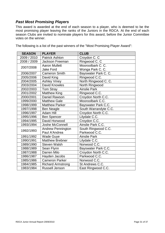# <span id="page-30-0"></span>*Past Most Promising Players*

This award is awarded at the end of each season to a player, who is deemed to be the most promising player leaving the ranks of the Juniors in the RDCA. At the end of each season Clubs are invited to nominate players for this award, before the Junior Committee votes on the winner.

| <b>SEASON</b> | <b>PLAYER</b>            | <b>CLUB</b>           |  |
|---------------|--------------------------|-----------------------|--|
| 2009 / 2010   | <b>Patrick Ashton</b>    | Croydon C. C          |  |
| 2008 / 2009   | Jackson Freeman          | Ringwood C. C         |  |
| 2007/2008     | <b>Aaron Mullett</b>     | Mooroolbark C. C.     |  |
|               | <b>Jake Ford</b>         | Wonga Park C. C.      |  |
| 2006/2007     | <b>Cameron Smith</b>     | Bayswater Park C. C.  |  |
| 2005/2006     | David King               | Ringwood C.C.         |  |
| 2004/2005     | <b>Ashley Viney</b>      | North Ringwood C. C.  |  |
| 2003/2004     | David Knowles            | North Ringwood        |  |
| 2002/2003     | Tom Stray                | <b>Ainslie Park</b>   |  |
| 2001/2002     | <b>Matthew King</b>      | Ringwood C.C.         |  |
| 2000/2001     | Daniel Rawson            | Croydon North C.C.    |  |
| 1999/2000     | <b>Matthew Gale</b>      | Mooroolbark C.C.      |  |
| 1998/1999     | <b>Matthew Parker</b>    | Bayswater Park C.C.   |  |
| 1997/1998     | <b>Ben Neagle</b>        | South Warrandyte C.C. |  |
| 1996/1997     | <b>Adam Hill</b>         | Croydon North C.C.    |  |
| 1995/1996     | <b>Ben Spencer</b>       | Lilydale C.C.         |  |
| 1994/1995     | David Horwood            | Croydon C.C.          |  |
| 1993/1994     | Joshe McConnell          | Ainslie Park C.C.     |  |
| 1992/1993     | <b>Andrew Pennington</b> | South Ringwood C.C.   |  |
|               | Paul A'Andrea            | Parkwood C.C.         |  |
| 1991/1992     | <b>Wade Guye</b>         | <b>Ainslie Park</b>   |  |
| 1990/1991     | Matthew Brebner          | Lilydale C.C.         |  |
| 1989/1990     | <b>Steven Walsh</b>      | Norwood C.C.          |  |
| 1988/1989     | Sean Flynn               | Bayswater Park C.C.   |  |
| 1987/1988     | Darren Milo              | Croydon North C.C.    |  |
| 1986/1987     | Hayden Jacobs            | Parkwood C.C.         |  |
| 1985/1986     | <b>Cameron Parker</b>    | Norwood C.C.          |  |
| 1984/1985     | <b>Richard Armstrong</b> | St Andrews C.C.       |  |
| 1983/1984     | Russell Jenson           | East Ringwood C.C.    |  |

The following is a list of the past winners of the "Most Promising Player Award":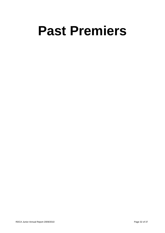# <span id="page-31-0"></span>**Past Premiers**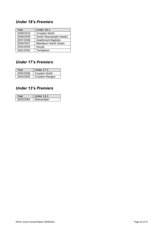# <span id="page-32-0"></span>*Under 18's Premiers*

| Year      | Under 18-1                   |
|-----------|------------------------------|
| 2009/2010 | Croydon North                |
| 2008/2009 | South Warrandyte Hawks       |
| 2007/2008 | <b>Heathmont Baptists</b>    |
| 2006/2007 | <b>Blackburn North Green</b> |
| 2002/2003 | Kilsyth                      |
| 2001/2002 | Templeton                    |

# <span id="page-32-1"></span>*Under 17's Premiers*

| Year      | <b>Under 17-1</b> |
|-----------|-------------------|
| 2005/2006 | Croydon North     |
| 2004/2005 | Croydon Ranges    |

# <span id="page-32-2"></span>*Under 13's Premiers*

| Year      | Under 13-1 |  |
|-----------|------------|--|
| 2003/2004 | Warrandvte |  |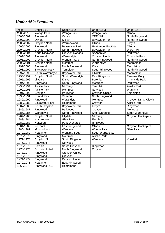# <span id="page-33-0"></span>*Under 16's Premiers*

| Year      | Under 16-1            | Under 16-2            | Under 16-3                | Under 16-4            |
|-----------|-----------------------|-----------------------|---------------------------|-----------------------|
| 2009/2010 | Wonga Park            | Wonga Park            | Wonga Park                | Olinda                |
| 2008/2009 | Ringwood              | Croydon               | CRR / KIL                 | North Ringwood        |
| 2007/2008 | Olinda                | Kilsyth               | <b>Bayswater Park</b>     | North Ringwood        |
| 2006/2007 | <b>Croydon North</b>  | Warranwood            | Olinda                    | Kilsyth               |
| 2005/2006 | Ringwood              | <b>Bayswater Park</b> | <b>Heathmont Baptists</b> | Olinda                |
| 2004/2005 | Croydon North         | North Ringwood        | <b>Bayswater Park</b>     | WSO/TMP               |
| 2003/2004 | North Ringwood        | <b>Croydon Ranges</b> | <b>St Andrews</b>         | Parkwood              |
| 2002/2003 | Ringwood              | Warrandyte            | <b>Croydon North</b>      | Chirnside Park        |
| 2001/2002 | <b>Croydon North</b>  | Wonga Paark           | North Ringwood            | North Ringwood        |
| 2000/2001 | <b>Croydon North</b>  | Montrose              | Warrandyte                | Mooroolbark           |
| 1999/2000 | Ringwood              | North Ringwood        | Kilsyth                   | Templeton             |
| 1998/1999 | <b>Bayswater Park</b> | Templeton             | South Ringwood            | North Ringwood        |
| 1997/1998 | South Warrandyte      | <b>Bayswater Park</b> | Lilydale                  | Mooroolbark           |
| 1996/1997 | <b>Croydon North</b>  | South Warandyte       | East Ringwood             | <b>Ferntree Gully</b> |
| 1995/1996 | Lilydale              | Kilsyth               | Boronia                   | <b>Chirmside Park</b> |
| 1994/1995 | Ringwood              | North Ringwood        | Montrose                  | Parkwood              |
| 1993/1994 | <b>Ainslie Park</b>   | Mt Evelyn             | Templeton                 | <b>Ainslie Park</b>   |
| 1992/1993 | Ainlsie Park          | Montrose              | Norwood                   | Wantirna              |
| 1991/1992 | Croydon               | Parkwood              | <b>Croydon United</b>     | Templeton             |
| 1990/1991 | <b>St Andrews</b>     | Vermont               | North Ringwood            |                       |
| 1989/1990 | Ringwood              | Warandyte             | Montrose                  | Croydon Nth & Kilsyth |
| 1988/1989 | <b>Bayswater Park</b> | Heathmont             | Croydon                   | <b>Ainslie Park</b>   |
| 1987/1988 | South Croydon         | <b>Bayswater Park</b> | Kilsyth                   | Ringwood              |
| 1886/1987 | Ringwood              | Parkwood              | Croydon                   | Montrose              |
| 1985/1986 | Warandyte             | North Ringwood        | <b>Knox Gardens</b>       | South Warandyte       |
| 1984/1985 | <b>Croydon North</b>  | Lilydale              | Mt Evelyn                 | Croydon Hockeyers     |
| 1983/1984 | Warrandyte            | <b>Glen Park</b>      | Eastfield                 |                       |
| 1982/1983 | Norwood               | Park Orchards         | Ringwood                  |                       |
| 1981/1982 | Vermont               | East Ringwood         | Olinda                    | Croydon Hockeyers     |
| 1980/1981 | Mooroolbark           | Wantirna              | Wonga Park                | <b>Glen Park</b>      |
| 1979/1980 | Heathmont             | <b>Wantirna South</b> | South Warrandyte          |                       |
| 1978/1979 | Ringwood              | Montrose              | <b>Ainslie Park</b>       |                       |
| 1977/1978 | Croydon Nth           | South Ringwood        | Wantirna                  | Knoxfield             |
| 1976/1977 | Ringwood              | Norwood               |                           |                       |
| 1975/1976 | Boronia               | South Croydon         | Ringwood                  |                       |
| 1974/1975 | <b>Boronia United</b> | North Ringwood        | Croydon                   |                       |
| 1973/1974 | Ringwood              | <b>Croydon United</b> |                           |                       |
| 1972/1973 | Ringwood              | Croydon               |                           |                       |
| 1971/1972 | Ringwood              | <b>Croydon United</b> |                           |                       |
| 1970/1971 | Heathmont             | East Ringwood         |                           |                       |
| 1969/1970 | <b>Ringwood RSL</b>   | Heathmont             |                           |                       |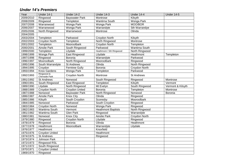# *Under 14's Premiers*

<span id="page-34-0"></span>

| Year      | Under 14-1                   | Under 14-2            | <b>Under 14-3</b>         | <b>Under 14-4</b>    | Under 14-5        |
|-----------|------------------------------|-----------------------|---------------------------|----------------------|-------------------|
| 2009/2010 | Ringwood                     | <b>Bayswater Park</b> | Montrose                  | Kilsyth              |                   |
| 2008/2009 | Ringwood                     | Templeton             | <b>Wantirna South</b>     | Wonga Park           |                   |
| 2007/2008 | Warranwood                   | Wonga Park            | Wonga Park                | MOO/BOR              |                   |
| 2006/2007 | Warranwood                   | Wonga Park            | Warrandyte                | Sth Warrandye        |                   |
| 2005/2006 | North Ringwood               | Warranwood            | Montrose                  | Olinda               |                   |
| 2004/2005 |                              |                       |                           |                      |                   |
| 2003/2004 | Templeton                    | Parkwood              | Croydon North             | Kilsyth              |                   |
| 2002/2003 | <b>Croydon North</b>         | Templeton             | North Ringwood            | Montrose             |                   |
| 2001/2002 | Templeton                    | Mooroolbark           | <b>Croydon North</b>      | Templeton            |                   |
| 2000/2001 | <b>Ainslie Park</b>          | South Ringwood        | Parkwood                  | Wantirna South       |                   |
| 1999/2000 | Templeton                    | Lilydale              | Heathmont / Sth Ringwood  | North Ringwood       |                   |
| 1998/1999 | Wonga Park                   | East Ringwood         | Lilydale                  | Heathmont            | Templeton         |
| 1997/1998 | Ringwood                     | Boronia               | Warrandyte                | Parkwood             |                   |
| 1996/1997 | Mooroolbark                  | North Ringwood        | Mooroolbark               | Ringwood             |                   |
| 1995/1996 | South Warrandyte             | <b>St Andrews</b>     | Olinda                    | North Ringwood       |                   |
| 1994/1995 | Croydon                      | <b>Ferntree Gully</b> | Boronia                   | <b>Croydon North</b> |                   |
| 1993/1994 | <b>Knox Gardens</b>          | <b>Wonga Park</b>     | Templeton                 | Parkwood             |                   |
| 1992/1993 | Ringwood &<br>Chirnside Park | Croydon North         | Montrose                  | <b>St Andrews</b>    |                   |
| 1991/1992 | <b>St Andrews</b>            | Norwood               | South Ringwood            | Ringwood             | Montrose          |
| 1990/1991 | South Ringwood               | East Ringwood         | Templeton                 | Kilsyth              | Vermont           |
| 1989/1990 | Lilydale                     | North Ringwood        | Mt Evelyn                 | South Ringwood       | Vermont & Kilsyth |
| 1988/1989 | Croydon North                | Croydon United        | Boronia                   | Templeton            | Montrose          |
| 1987/1988 | Norwood                      | <b>Bayswater Park</b> | North Ringwood            | Norwood              | Boronia           |
| 1886/1987 | Ainslie Park                 | Knox City             | Olinda                    | Ringwood             |                   |
| 1985/1986 | Kilsyth                      | South Croydon         | Scoresby                  | Mooroolbark          |                   |
| 1984/1985 | Norwood                      | Parkwood              | South Croydon             | Ringwood             |                   |
| 1983/1984 | <b>Croydon North</b>         | Norwood               | Wonga Park                | Ringwood             |                   |
| 1982/1983 | Wantirna South               | Vermont               | <b>Heathmont Baptists</b> | North Ringwood       |                   |
| 1981/1982 | Wantirna South               | <b>Glen Park</b>      | Ringwood                  | Warrandyte           |                   |
| 1980/1981 | Norwood                      | <b>Knox City</b>      | <b>Ainslie Park</b>       | Croydon North        |                   |
| 1979/1980 | Ringwood                     | Croydon North         | Lilydale                  | Ringwood             |                   |
| 1978/1979 | Ringwood                     | Boronia               | Olinda                    | Heathmont            |                   |
| 1977/1978 | Heathmont                    | Mooroolbark           | Warrandyte                | Lilydale             |                   |
| 1976/1977 | Heathmont                    |                       | Knoxfield                 |                      |                   |
| 1975/1976 | Croydon United               |                       | Heathmont                 |                      |                   |
| 1974/1975 | <b>St Andrews</b>            |                       | Ringwood                  |                      |                   |
| 1973/1974 | Johnson Park                 |                       |                           |                      |                   |
| 1972/1973 | Ringwood RSL                 |                       |                           |                      |                   |
| 1971/1972 | South Ringwood               |                       |                           |                      |                   |
| 1970/1971 | Croydon United               |                       |                           |                      |                   |
| 1969/1970 | Ringwood                     |                       |                           |                      |                   |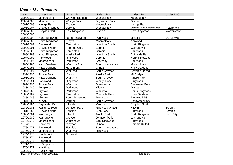# *Under 12's Premiers*

<span id="page-35-0"></span>

| Year      | <b>Under 12-1</b>                   | Under 12-2            | <b>Under 12-3</b>      | <b>Under 12-4</b>          | <b>Under 12-5</b> |
|-----------|-------------------------------------|-----------------------|------------------------|----------------------------|-------------------|
| 2009/2010 | Mooroolbark                         | Croydon Ranges        | <b>Wonga Park</b>      | Mooroolbark                |                   |
| 2008/2009 | Mooroolbark                         | <b>Wonga Park</b>     | <b>Bayswater Park</b>  | Olinda                     |                   |
| 2007/2008 | Wonga Park                          | Croydon               | Mooroolbark            | Wonga Park                 |                   |
| 2006/2007 | <b>Croydon Ranges</b>               | Boronia               | Wonga Park             | Croydon North & Warranwood | Heathmont         |
| 2005/2006 | <b>Croydon North</b>                | East Ringwood         | Lilydale               | East Ringwood              | Warranwood        |
| 2004/2005 |                                     |                       |                        |                            |                   |
| 2003/2004 | North Ringwood                      | North Ringwood        | Parkwood               | Lilydale                   | <b>BOR/RWD</b>    |
| 2002/2003 | North Ringwood                      | Kilsyth               | Mooroolbark            | Norwood                    |                   |
| 2001/2002 | Ringwood                            | Templeton             | <b>Wantirna South</b>  | North Ringwood             |                   |
| 2000/2001 | <b>Croydon North</b>                | <b>Ferntree Gully</b> | Boronia                | Warrandyte                 |                   |
| 1999/2000 | North Ringwood                      | Templeton             | Boronia                | Parkwood                   |                   |
| 1998/1999 | North Ringwood                      | Ainslie Park          | Wantirna South         | <b>Chirnside Park</b>      |                   |
| 1997/1998 | Parkwood                            | Ringwood              | <b>Boronia</b>         | North Ringwood             |                   |
| 1996/1997 | Mooroolbark                         | Parkwood              | Scoresby               | Parkwood                   |                   |
| 1995/1996 | <b>Knox Gardens</b>                 | <b>Wantirna South</b> | South Warrandyte       | Mooroolbark                |                   |
| 1994/1995 | <b>Knox Gardens</b>                 | Heathmont             | Olinda                 | <b>Knox Gardens</b>        |                   |
| 1993/1994 | Croydon                             | Wantirna              | South Croydon          | <b>Croydon United</b>      |                   |
| 1992/1993 | <b>Ainslie Park</b>                 | Kilsyth               | <b>Ainslie Park</b>    | Mt Evelyn                  |                   |
| 1991/1992 | <b>Knox Gardens</b>                 | Wantirna              | South Croydon          | <b>Ainslie Park</b>        |                   |
| 1990/1991 | Parkwood                            | Ringwood              | Wonga Park             | Ringwood                   |                   |
| 1989/1990 | <b>Ainslie Park</b>                 | Wantirna              | <b>St Andrews</b>      | <b>Bayswater Park</b>      |                   |
| 1988/1989 | Templeton                           | Parkwood              | Kilsyth                | Olinda                     |                   |
| 1987/1988 | Lilydale                            | Parkwood              | Wantirna               | South Ringwood             |                   |
| 1886/1987 | Lilydale                            | Templeton             | Chirnside Park         | <b>Knox Gardens</b>        |                   |
| 1985/1986 | Lilydale                            | South Ringwood        | Ringwood               | Ringwood RSL               |                   |
| 1984/1985 | Kilsyth                             | Vermont               | South Croydon          | <b>Bayswater Park</b>      |                   |
| 1983/1984 | <b>Bayswater Park</b>               | Lilydale              | Vermont                | <b>Croydon North</b>       |                   |
| 1982/1983 | <b>Wantirna South</b>               | <b>Johnson Park</b>   | <b>Ringwood United</b> | Kilsyth                    | Boronia           |
| 1981/1982 | <b>Croydon North</b>                | Eastfield             | <b>Glen Park</b>       | Ringwood                   | Boronia           |
| 1980/1981 | Warrandyte                          | Lilydale              | <b>Ainslie Park</b>    | North Ringwood             | <b>Knox City</b>  |
| 1979/1980 | Warrandyte                          | Croydon               | Johnson Park           | Warrandyte                 |                   |
| 1978/1979 | Mooroolbark                         | Warrandyte            | East Ringwood          | Ringwood                   |                   |
| 1977/1978 | Norwood                             | Croydon               | Olinda                 | <b>Boronia United</b>      |                   |
| 1976/1977 | Ringwood                            | Eastfield             | South Warrandyte       |                            |                   |
| 1975/1976 | Mooroolbark                         | Wantirna              | Ringwood               |                            |                   |
| 1974/1975 | Heathmont                           | Norwood               |                        |                            |                   |
| 1973/1974 | Ringwood                            |                       |                        |                            |                   |
| 1972/1973 | Ringwood                            |                       |                        |                            |                   |
| 1971/1970 | <b>St Stephens</b>                  |                       |                        |                            |                   |
| 1970/1971 | Wantirna                            |                       |                        |                            |                   |
| 1969/1970 | <b>Ruskin Park</b>                  |                       |                        |                            |                   |
|           | RDCA Junior Annual Report 2009/2010 |                       |                        | Page 36 of 37              |                   |